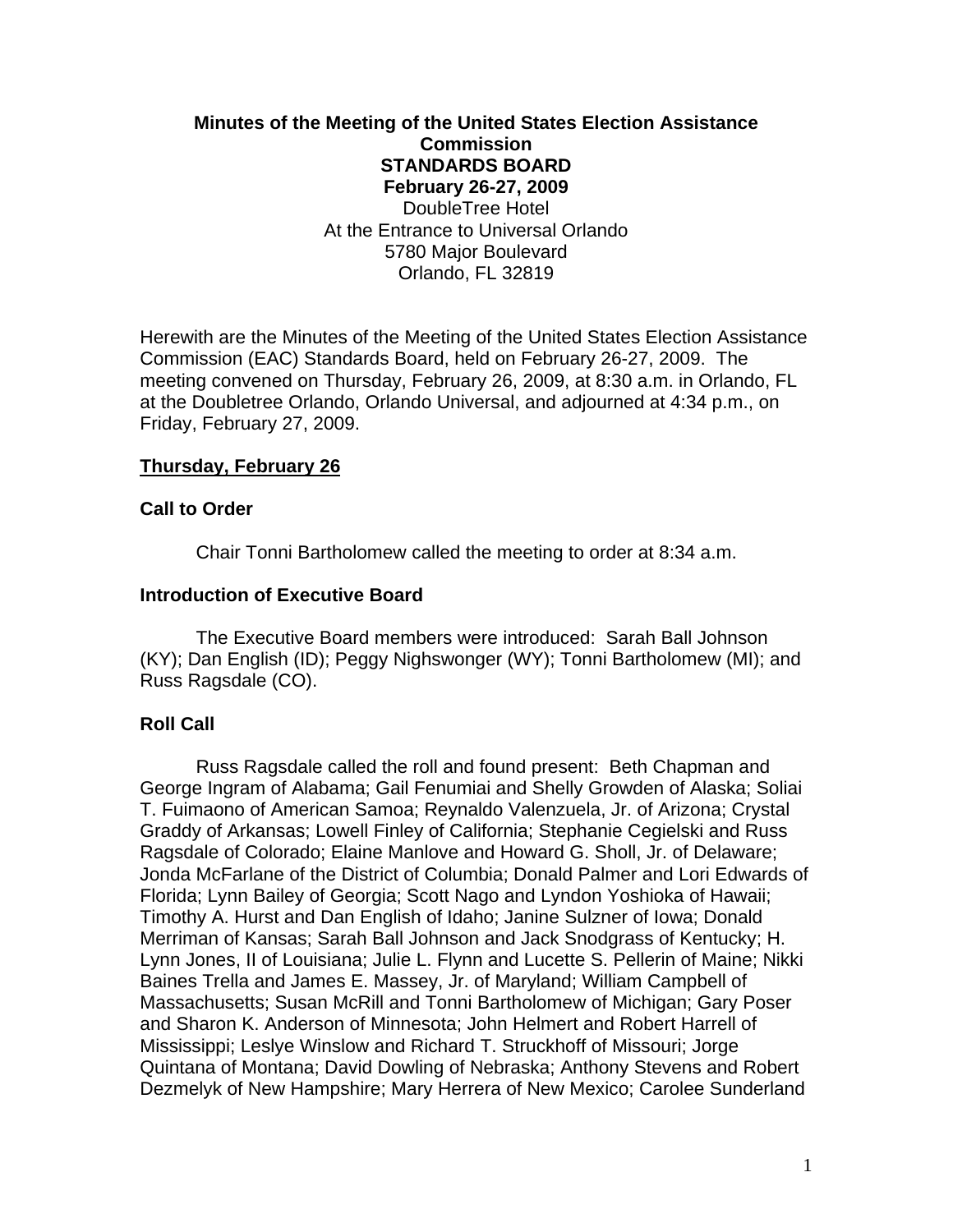# **Minutes of the Meeting of the United States Election Assistance Commission STANDARDS BOARD February 26-27, 2009**  DoubleTree Hotel At the Entrance to Universal Orlando 5780 Major Boulevard Orlando, FL 32819

Herewith are the Minutes of the Meeting of the United States Election Assistance Commission (EAC) Standards Board, held on February 26-27, 2009. The meeting convened on Thursday, February 26, 2009, at 8:30 a.m. in Orlando, FL at the Doubletree Orlando, Orlando Universal, and adjourned at 4:34 p.m., on Friday, February 27, 2009.

# **Thursday, February 26**

## **Call to Order**

Chair Tonni Bartholomew called the meeting to order at 8:34 a.m.

## **Introduction of Executive Board**

 The Executive Board members were introduced: Sarah Ball Johnson (KY); Dan English (ID); Peggy Nighswonger (WY); Tonni Bartholomew (MI); and Russ Ragsdale (CO).

## **Roll Call**

 Russ Ragsdale called the roll and found present: Beth Chapman and George Ingram of Alabama; Gail Fenumiai and Shelly Growden of Alaska; Soliai T. Fuimaono of American Samoa; Reynaldo Valenzuela, Jr. of Arizona; Crystal Graddy of Arkansas; Lowell Finley of California; Stephanie Cegielski and Russ Ragsdale of Colorado; Elaine Manlove and Howard G. Sholl, Jr. of Delaware; Jonda McFarlane of the District of Columbia; Donald Palmer and Lori Edwards of Florida; Lynn Bailey of Georgia; Scott Nago and Lyndon Yoshioka of Hawaii; Timothy A. Hurst and Dan English of Idaho; Janine Sulzner of Iowa; Donald Merriman of Kansas; Sarah Ball Johnson and Jack Snodgrass of Kentucky; H. Lynn Jones, II of Louisiana; Julie L. Flynn and Lucette S. Pellerin of Maine; Nikki Baines Trella and James E. Massey, Jr. of Maryland; William Campbell of Massachusetts; Susan McRill and Tonni Bartholomew of Michigan; Gary Poser and Sharon K. Anderson of Minnesota; John Helmert and Robert Harrell of Mississippi; Leslye Winslow and Richard T. Struckhoff of Missouri; Jorge Quintana of Montana; David Dowling of Nebraska; Anthony Stevens and Robert Dezmelyk of New Hampshire; Mary Herrera of New Mexico; Carolee Sunderland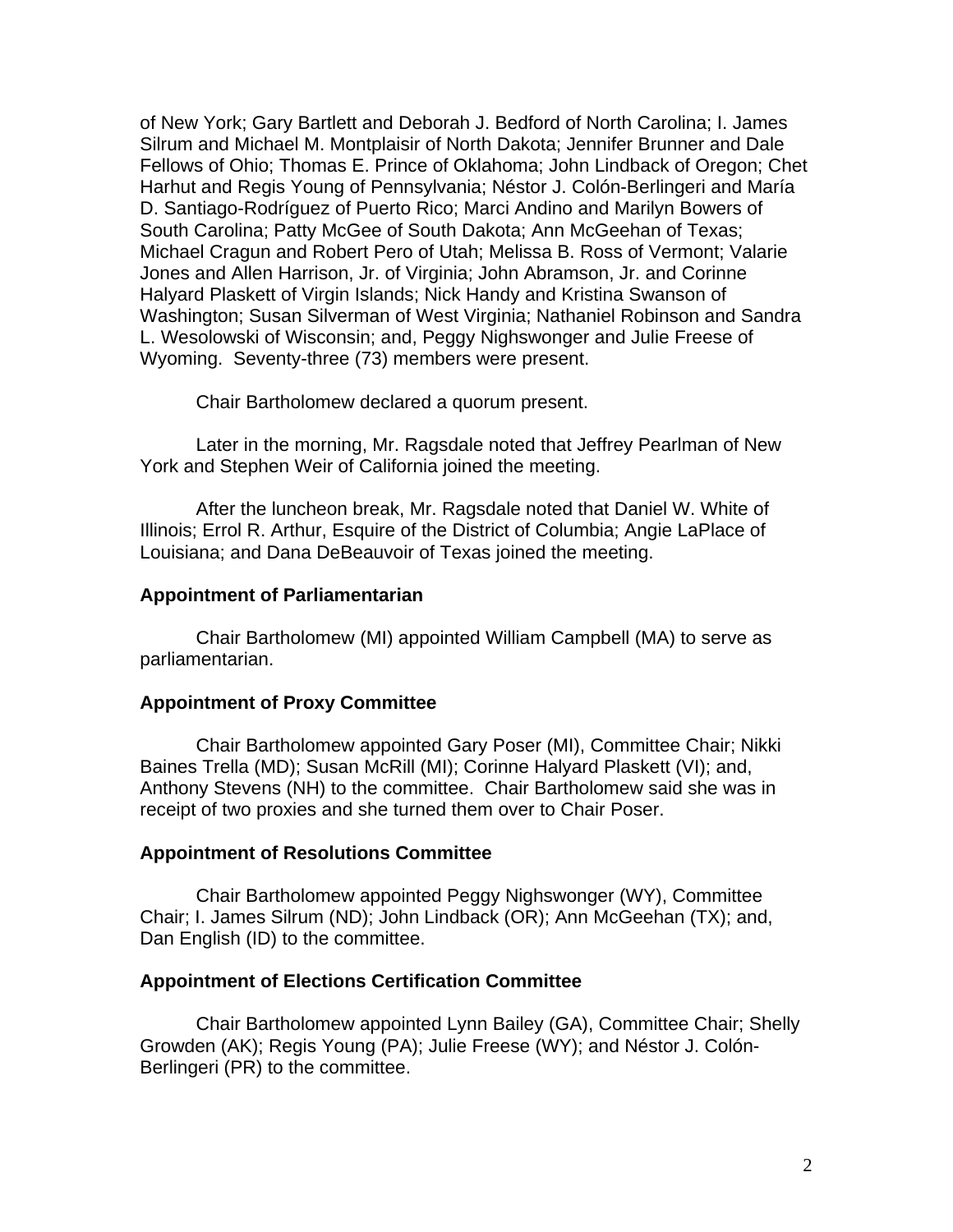of New York; Gary Bartlett and Deborah J. Bedford of North Carolina; I. James Silrum and Michael M. Montplaisir of North Dakota; Jennifer Brunner and Dale Fellows of Ohio; Thomas E. Prince of Oklahoma; John Lindback of Oregon; Chet Harhut and Regis Young of Pennsylvania; Néstor J. Colón-Berlingeri and María D. Santiago-Rodríguez of Puerto Rico; Marci Andino and Marilyn Bowers of South Carolina; Patty McGee of South Dakota; Ann McGeehan of Texas; Michael Cragun and Robert Pero of Utah; Melissa B. Ross of Vermont; Valarie Jones and Allen Harrison, Jr. of Virginia; John Abramson, Jr. and Corinne Halyard Plaskett of Virgin Islands; Nick Handy and Kristina Swanson of Washington; Susan Silverman of West Virginia; Nathaniel Robinson and Sandra L. Wesolowski of Wisconsin; and, Peggy Nighswonger and Julie Freese of Wyoming. Seventy-three (73) members were present.

Chair Bartholomew declared a quorum present.

 Later in the morning, Mr. Ragsdale noted that Jeffrey Pearlman of New York and Stephen Weir of California joined the meeting.

 After the luncheon break, Mr. Ragsdale noted that Daniel W. White of Illinois; Errol R. Arthur, Esquire of the District of Columbia; Angie LaPlace of Louisiana; and Dana DeBeauvoir of Texas joined the meeting.

### **Appointment of Parliamentarian**

 Chair Bartholomew (MI) appointed William Campbell (MA) to serve as parliamentarian.

### **Appointment of Proxy Committee**

 Chair Bartholomew appointed Gary Poser (MI), Committee Chair; Nikki Baines Trella (MD); Susan McRill (MI); Corinne Halyard Plaskett (VI); and, Anthony Stevens (NH) to the committee. Chair Bartholomew said she was in receipt of two proxies and she turned them over to Chair Poser.

#### **Appointment of Resolutions Committee**

 Chair Bartholomew appointed Peggy Nighswonger (WY), Committee Chair; I. James Silrum (ND); John Lindback (OR); Ann McGeehan (TX); and, Dan English (ID) to the committee.

#### **Appointment of Elections Certification Committee**

 Chair Bartholomew appointed Lynn Bailey (GA), Committee Chair; Shelly Growden (AK); Regis Young (PA); Julie Freese (WY); and Néstor J. Colón-Berlingeri (PR) to the committee.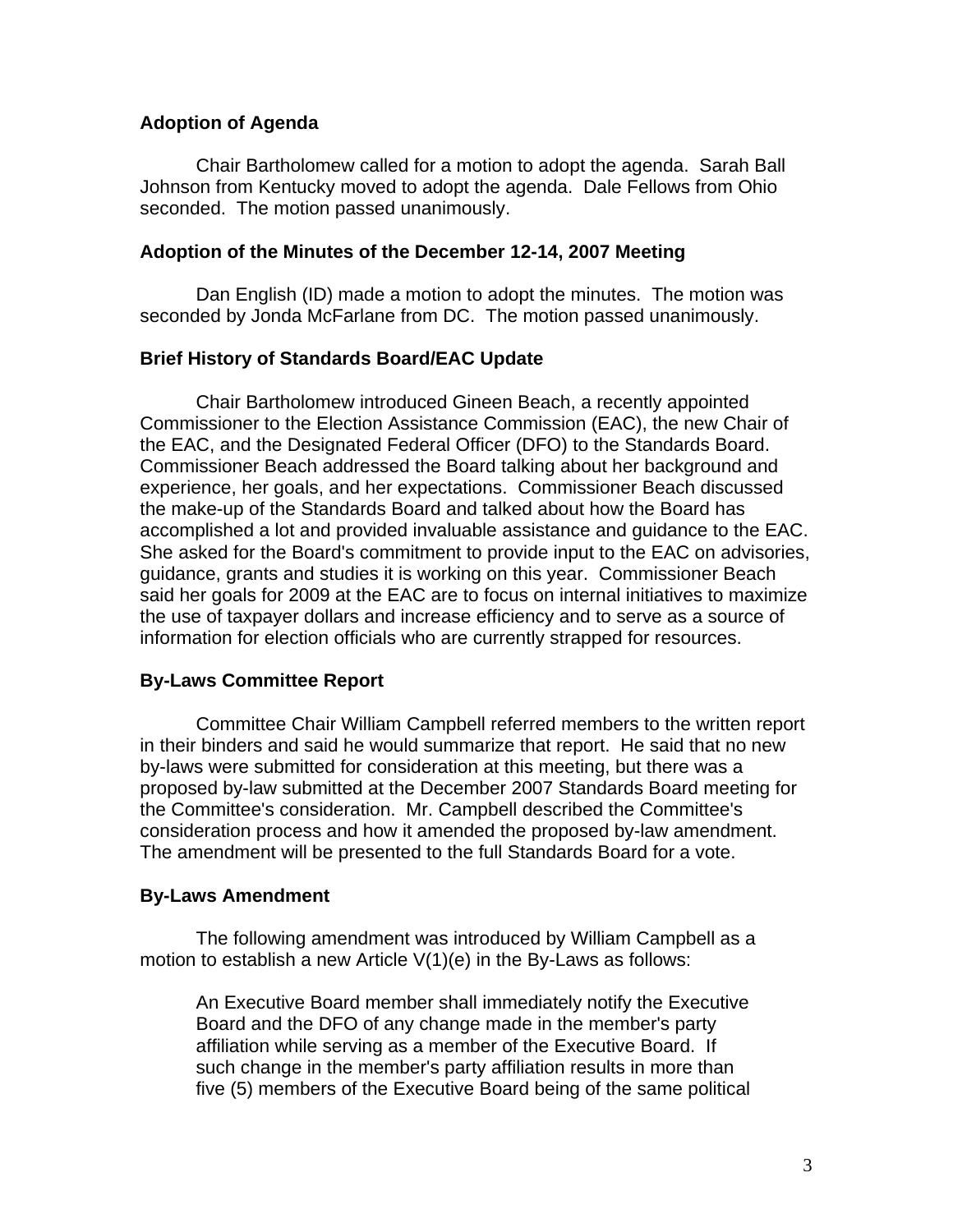# **Adoption of Agenda**

Chair Bartholomew called for a motion to adopt the agenda. Sarah Ball Johnson from Kentucky moved to adopt the agenda. Dale Fellows from Ohio seconded. The motion passed unanimously.

# **Adoption of the Minutes of the December 12-14, 2007 Meeting**

 Dan English (ID) made a motion to adopt the minutes. The motion was seconded by Jonda McFarlane from DC. The motion passed unanimously.

# **Brief History of Standards Board/EAC Update**

 Chair Bartholomew introduced Gineen Beach, a recently appointed Commissioner to the Election Assistance Commission (EAC), the new Chair of the EAC, and the Designated Federal Officer (DFO) to the Standards Board. Commissioner Beach addressed the Board talking about her background and experience, her goals, and her expectations. Commissioner Beach discussed the make-up of the Standards Board and talked about how the Board has accomplished a lot and provided invaluable assistance and guidance to the EAC. She asked for the Board's commitment to provide input to the EAC on advisories, guidance, grants and studies it is working on this year. Commissioner Beach said her goals for 2009 at the EAC are to focus on internal initiatives to maximize the use of taxpayer dollars and increase efficiency and to serve as a source of information for election officials who are currently strapped for resources.

# **By-Laws Committee Report**

 Committee Chair William Campbell referred members to the written report in their binders and said he would summarize that report. He said that no new by-laws were submitted for consideration at this meeting, but there was a proposed by-law submitted at the December 2007 Standards Board meeting for the Committee's consideration. Mr. Campbell described the Committee's consideration process and how it amended the proposed by-law amendment. The amendment will be presented to the full Standards Board for a vote.

# **By-Laws Amendment**

 The following amendment was introduced by William Campbell as a motion to establish a new Article V(1)(e) in the By-Laws as follows:

An Executive Board member shall immediately notify the Executive Board and the DFO of any change made in the member's party affiliation while serving as a member of the Executive Board. If such change in the member's party affiliation results in more than five (5) members of the Executive Board being of the same political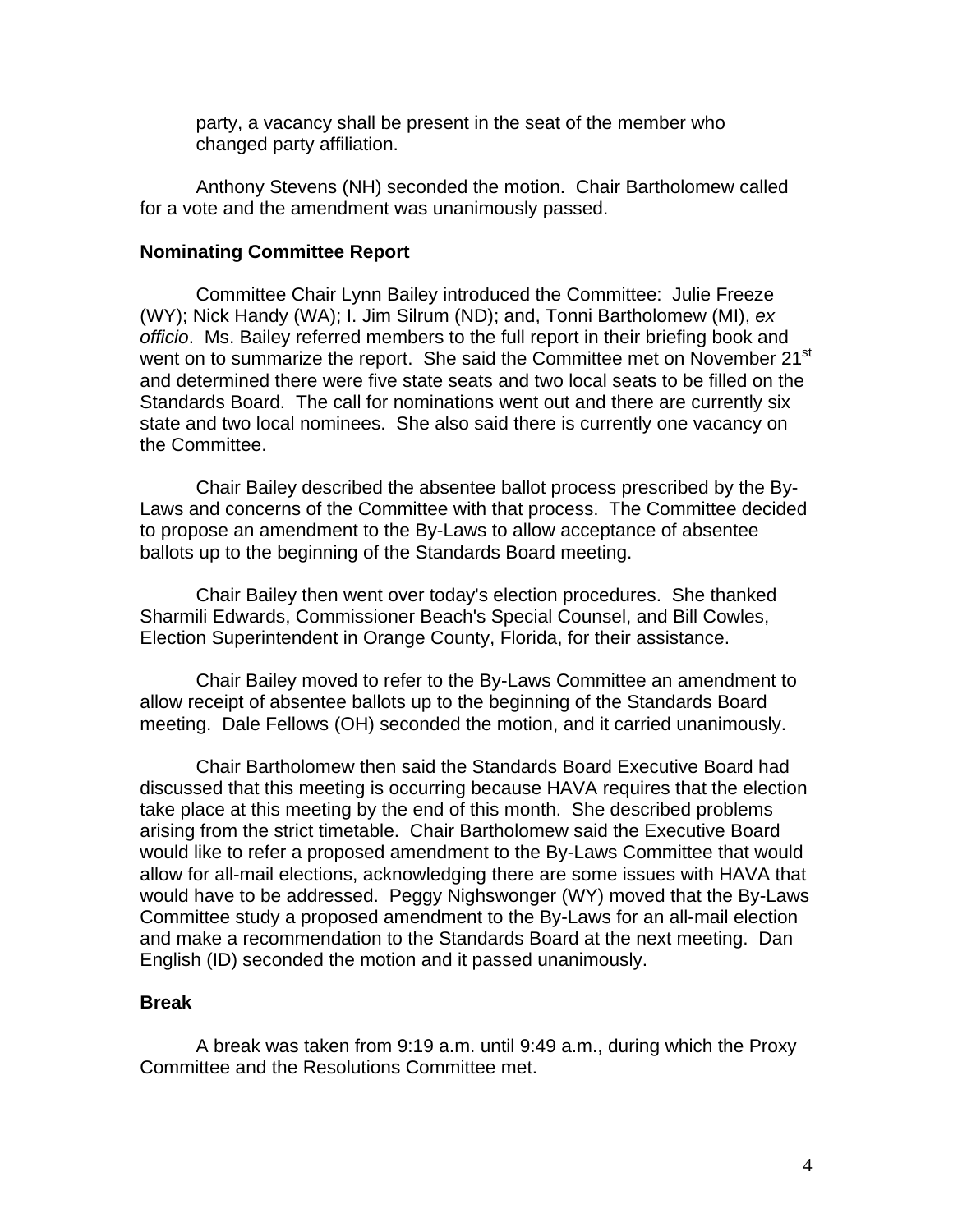party, a vacancy shall be present in the seat of the member who changed party affiliation.

Anthony Stevens (NH) seconded the motion. Chair Bartholomew called for a vote and the amendment was unanimously passed.

#### **Nominating Committee Report**

 Committee Chair Lynn Bailey introduced the Committee: Julie Freeze (WY); Nick Handy (WA); I. Jim Silrum (ND); and, Tonni Bartholomew (MI), *ex officio*. Ms. Bailey referred members to the full report in their briefing book and went on to summarize the report. She said the Committee met on November 21<sup>st</sup> and determined there were five state seats and two local seats to be filled on the Standards Board. The call for nominations went out and there are currently six state and two local nominees. She also said there is currently one vacancy on the Committee.

Chair Bailey described the absentee ballot process prescribed by the By-Laws and concerns of the Committee with that process. The Committee decided to propose an amendment to the By-Laws to allow acceptance of absentee ballots up to the beginning of the Standards Board meeting.

Chair Bailey then went over today's election procedures. She thanked Sharmili Edwards, Commissioner Beach's Special Counsel, and Bill Cowles, Election Superintendent in Orange County, Florida, for their assistance.

Chair Bailey moved to refer to the By-Laws Committee an amendment to allow receipt of absentee ballots up to the beginning of the Standards Board meeting. Dale Fellows (OH) seconded the motion, and it carried unanimously.

Chair Bartholomew then said the Standards Board Executive Board had discussed that this meeting is occurring because HAVA requires that the election take place at this meeting by the end of this month. She described problems arising from the strict timetable. Chair Bartholomew said the Executive Board would like to refer a proposed amendment to the By-Laws Committee that would allow for all-mail elections, acknowledging there are some issues with HAVA that would have to be addressed. Peggy Nighswonger (WY) moved that the By-Laws Committee study a proposed amendment to the By-Laws for an all-mail election and make a recommendation to the Standards Board at the next meeting. Dan English (ID) seconded the motion and it passed unanimously.

#### **Break**

A break was taken from 9:19 a.m. until 9:49 a.m., during which the Proxy Committee and the Resolutions Committee met.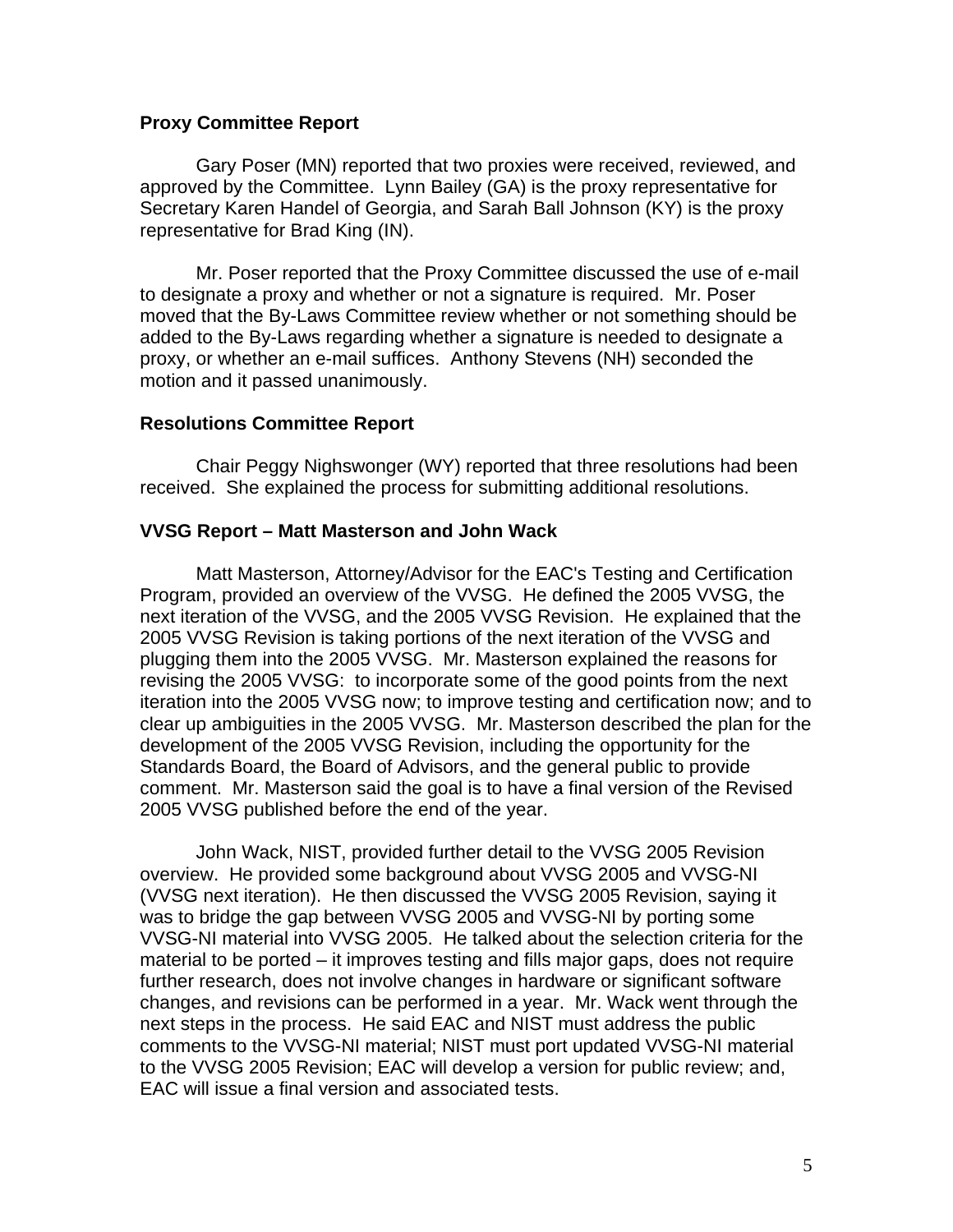## **Proxy Committee Report**

 Gary Poser (MN) reported that two proxies were received, reviewed, and approved by the Committee. Lynn Bailey (GA) is the proxy representative for Secretary Karen Handel of Georgia, and Sarah Ball Johnson (KY) is the proxy representative for Brad King (IN).

 Mr. Poser reported that the Proxy Committee discussed the use of e-mail to designate a proxy and whether or not a signature is required. Mr. Poser moved that the By-Laws Committee review whether or not something should be added to the By-Laws regarding whether a signature is needed to designate a proxy, or whether an e-mail suffices. Anthony Stevens (NH) seconded the motion and it passed unanimously.

# **Resolutions Committee Report**

 Chair Peggy Nighswonger (WY) reported that three resolutions had been received. She explained the process for submitting additional resolutions.

# **VVSG Report – Matt Masterson and John Wack**

 Matt Masterson, Attorney/Advisor for the EAC's Testing and Certification Program, provided an overview of the VVSG. He defined the 2005 VVSG, the next iteration of the VVSG, and the 2005 VVSG Revision. He explained that the 2005 VVSG Revision is taking portions of the next iteration of the VVSG and plugging them into the 2005 VVSG. Mr. Masterson explained the reasons for revising the 2005 VVSG: to incorporate some of the good points from the next iteration into the 2005 VVSG now; to improve testing and certification now; and to clear up ambiguities in the 2005 VVSG. Mr. Masterson described the plan for the development of the 2005 VVSG Revision, including the opportunity for the Standards Board, the Board of Advisors, and the general public to provide comment. Mr. Masterson said the goal is to have a final version of the Revised 2005 VVSG published before the end of the year.

 John Wack, NIST, provided further detail to the VVSG 2005 Revision overview. He provided some background about VVSG 2005 and VVSG-NI (VVSG next iteration). He then discussed the VVSG 2005 Revision, saying it was to bridge the gap between VVSG 2005 and VVSG-NI by porting some VVSG-NI material into VVSG 2005. He talked about the selection criteria for the material to be ported – it improves testing and fills major gaps, does not require further research, does not involve changes in hardware or significant software changes, and revisions can be performed in a year. Mr. Wack went through the next steps in the process. He said EAC and NIST must address the public comments to the VVSG-NI material; NIST must port updated VVSG-NI material to the VVSG 2005 Revision; EAC will develop a version for public review; and, EAC will issue a final version and associated tests.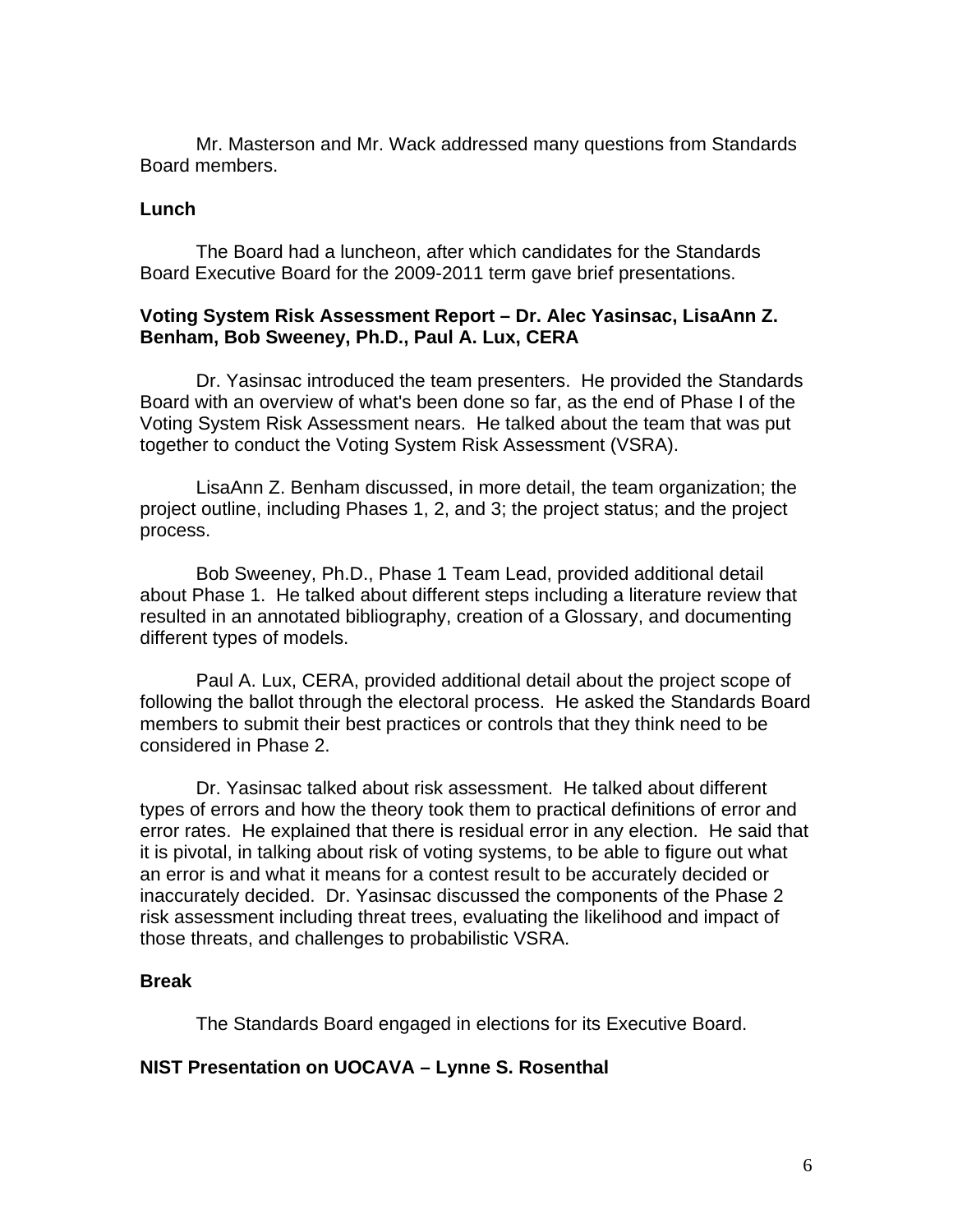Mr. Masterson and Mr. Wack addressed many questions from Standards Board members.

# **Lunch**

 The Board had a luncheon, after which candidates for the Standards Board Executive Board for the 2009-2011 term gave brief presentations.

# **Voting System Risk Assessment Report – Dr. Alec Yasinsac, LisaAnn Z. Benham, Bob Sweeney, Ph.D., Paul A. Lux, CERA**

 Dr. Yasinsac introduced the team presenters. He provided the Standards Board with an overview of what's been done so far, as the end of Phase I of the Voting System Risk Assessment nears. He talked about the team that was put together to conduct the Voting System Risk Assessment (VSRA).

 LisaAnn Z. Benham discussed, in more detail, the team organization; the project outline, including Phases 1, 2, and 3; the project status; and the project process.

 Bob Sweeney, Ph.D., Phase 1 Team Lead, provided additional detail about Phase 1. He talked about different steps including a literature review that resulted in an annotated bibliography, creation of a Glossary, and documenting different types of models.

 Paul A. Lux, CERA, provided additional detail about the project scope of following the ballot through the electoral process. He asked the Standards Board members to submit their best practices or controls that they think need to be considered in Phase 2.

 Dr. Yasinsac talked about risk assessment. He talked about different types of errors and how the theory took them to practical definitions of error and error rates. He explained that there is residual error in any election. He said that it is pivotal, in talking about risk of voting systems, to be able to figure out what an error is and what it means for a contest result to be accurately decided or inaccurately decided. Dr. Yasinsac discussed the components of the Phase 2 risk assessment including threat trees, evaluating the likelihood and impact of those threats, and challenges to probabilistic VSRA.

## **Break**

The Standards Board engaged in elections for its Executive Board.

## **NIST Presentation on UOCAVA – Lynne S. Rosenthal**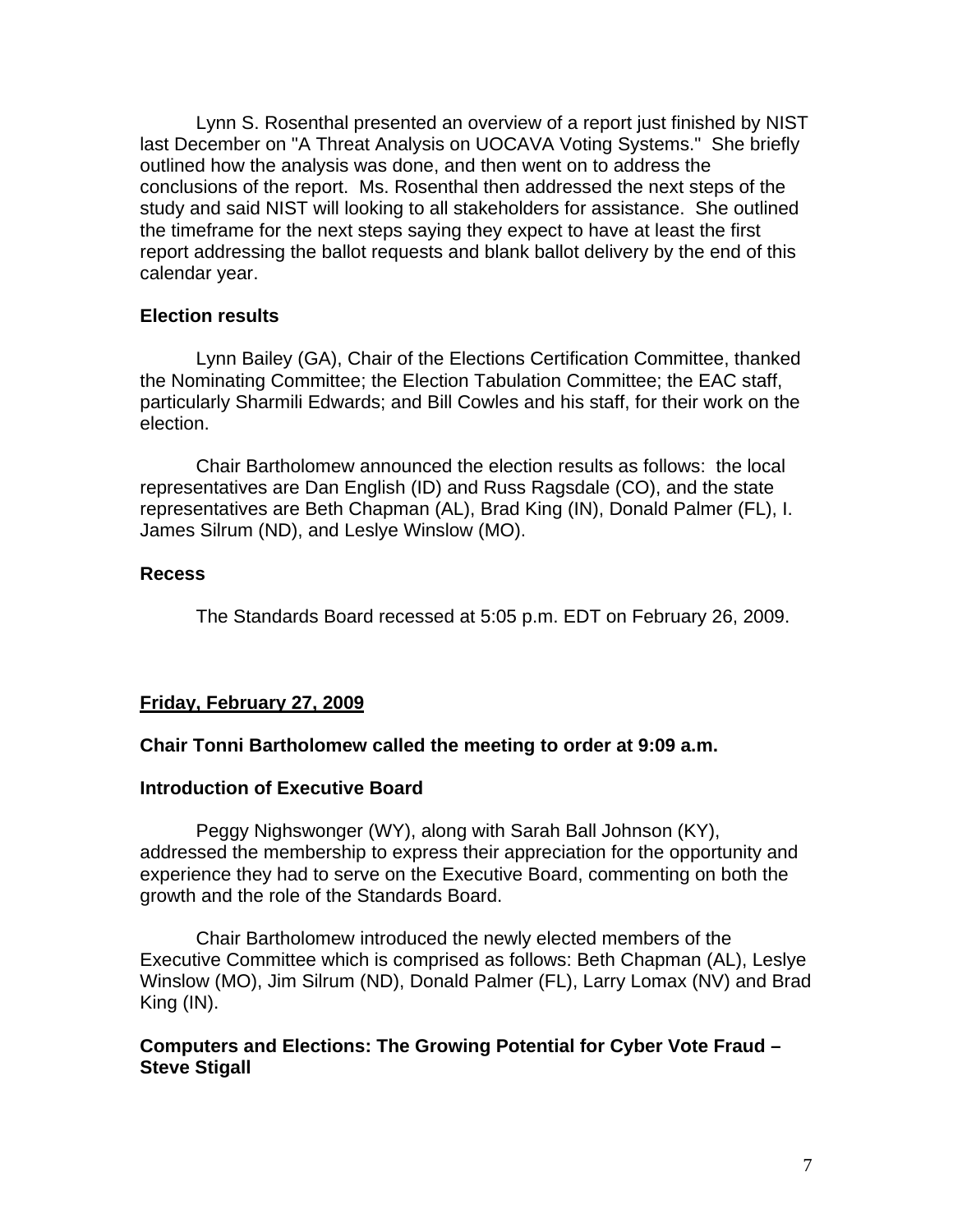Lynn S. Rosenthal presented an overview of a report just finished by NIST last December on "A Threat Analysis on UOCAVA Voting Systems." She briefly outlined how the analysis was done, and then went on to address the conclusions of the report. Ms. Rosenthal then addressed the next steps of the study and said NIST will looking to all stakeholders for assistance. She outlined the timeframe for the next steps saying they expect to have at least the first report addressing the ballot requests and blank ballot delivery by the end of this calendar year.

## **Election results**

 Lynn Bailey (GA), Chair of the Elections Certification Committee, thanked the Nominating Committee; the Election Tabulation Committee; the EAC staff, particularly Sharmili Edwards; and Bill Cowles and his staff, for their work on the election.

 Chair Bartholomew announced the election results as follows: the local representatives are Dan English (ID) and Russ Ragsdale (CO), and the state representatives are Beth Chapman (AL), Brad King (IN), Donald Palmer (FL), I. James Silrum (ND), and Leslye Winslow (MO).

# **Recess**

The Standards Board recessed at 5:05 p.m. EDT on February 26, 2009.

# **Friday, February 27, 2009**

## **Chair Tonni Bartholomew called the meeting to order at 9:09 a.m.**

## **Introduction of Executive Board**

Peggy Nighswonger (WY), along with Sarah Ball Johnson (KY), addressed the membership to express their appreciation for the opportunity and experience they had to serve on the Executive Board, commenting on both the growth and the role of the Standards Board.

 Chair Bartholomew introduced the newly elected members of the Executive Committee which is comprised as follows: Beth Chapman (AL), Leslye Winslow (MO), Jim Silrum (ND), Donald Palmer (FL), Larry Lomax (NV) and Brad King (IN).

# **Computers and Elections: The Growing Potential for Cyber Vote Fraud – Steve Stigall**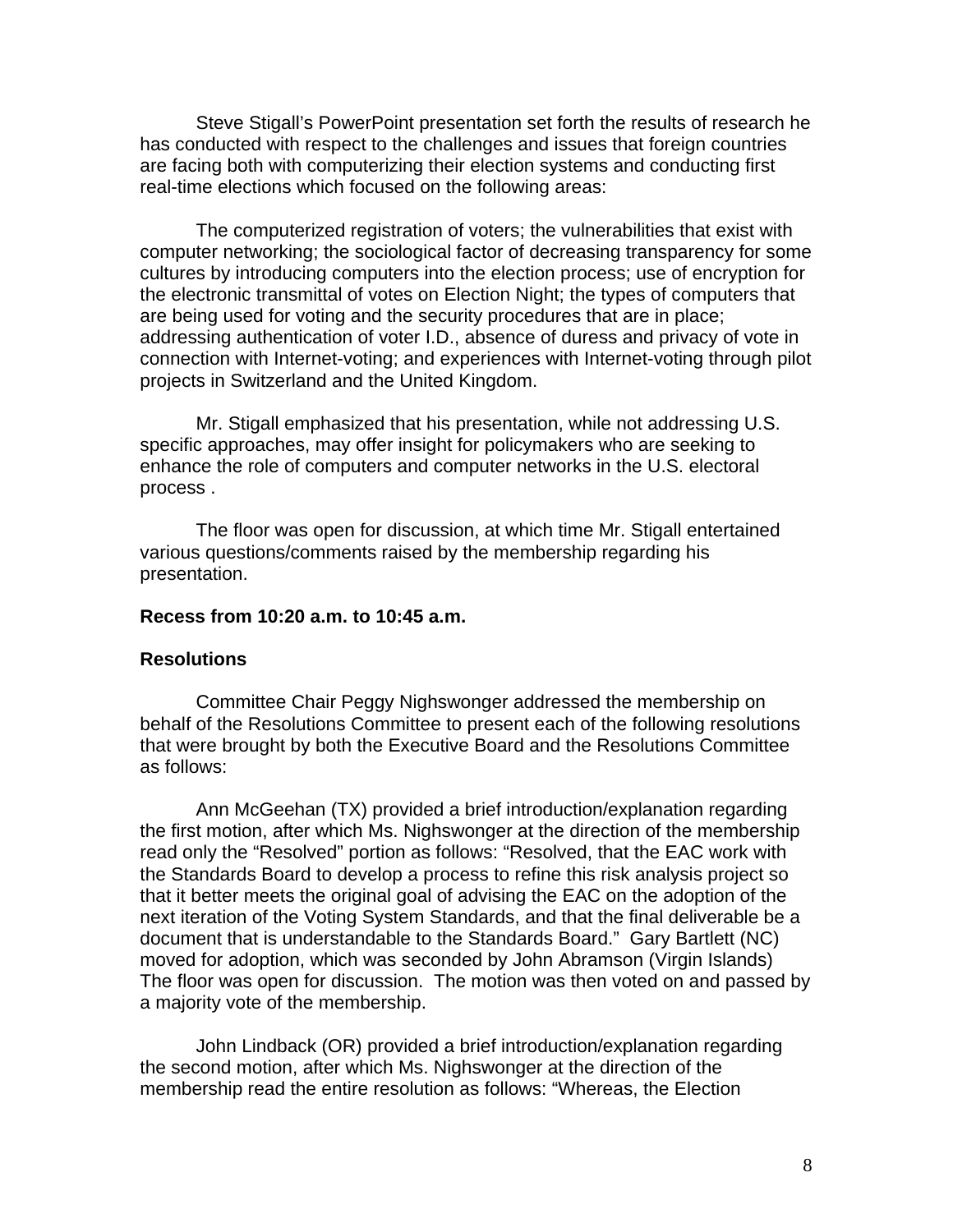Steve Stigall's PowerPoint presentation set forth the results of research he has conducted with respect to the challenges and issues that foreign countries are facing both with computerizing their election systems and conducting first real-time elections which focused on the following areas:

The computerized registration of voters; the vulnerabilities that exist with computer networking; the sociological factor of decreasing transparency for some cultures by introducing computers into the election process; use of encryption for the electronic transmittal of votes on Election Night; the types of computers that are being used for voting and the security procedures that are in place; addressing authentication of voter I.D., absence of duress and privacy of vote in connection with Internet-voting; and experiences with Internet-voting through pilot projects in Switzerland and the United Kingdom.

Mr. Stigall emphasized that his presentation, while not addressing U.S. specific approaches, may offer insight for policymakers who are seeking to enhance the role of computers and computer networks in the U.S. electoral process .

The floor was open for discussion, at which time Mr. Stigall entertained various questions/comments raised by the membership regarding his presentation.

### **Recess from 10:20 a.m. to 10:45 a.m.**

### **Resolutions**

Committee Chair Peggy Nighswonger addressed the membership on behalf of the Resolutions Committee to present each of the following resolutions that were brought by both the Executive Board and the Resolutions Committee as follows:

 Ann McGeehan (TX) provided a brief introduction/explanation regarding the first motion, after which Ms. Nighswonger at the direction of the membership read only the "Resolved" portion as follows: "Resolved, that the EAC work with the Standards Board to develop a process to refine this risk analysis project so that it better meets the original goal of advising the EAC on the adoption of the next iteration of the Voting System Standards, and that the final deliverable be a document that is understandable to the Standards Board." Gary Bartlett (NC) moved for adoption, which was seconded by John Abramson (Virgin Islands) The floor was open for discussion. The motion was then voted on and passed by a majority vote of the membership.

 John Lindback (OR) provided a brief introduction/explanation regarding the second motion, after which Ms. Nighswonger at the direction of the membership read the entire resolution as follows: "Whereas, the Election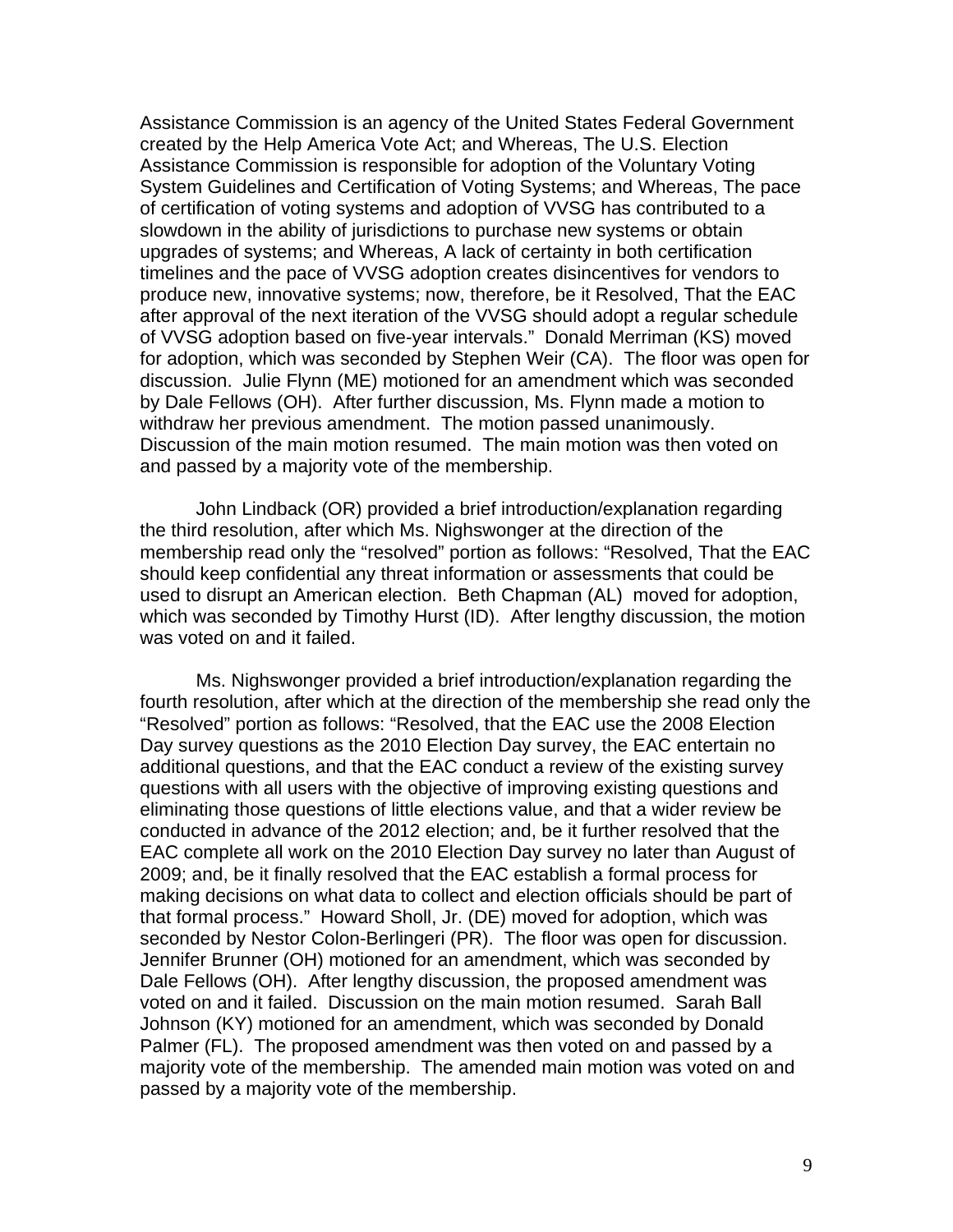Assistance Commission is an agency of the United States Federal Government created by the Help America Vote Act; and Whereas, The U.S. Election Assistance Commission is responsible for adoption of the Voluntary Voting System Guidelines and Certification of Voting Systems; and Whereas, The pace of certification of voting systems and adoption of VVSG has contributed to a slowdown in the ability of jurisdictions to purchase new systems or obtain upgrades of systems; and Whereas, A lack of certainty in both certification timelines and the pace of VVSG adoption creates disincentives for vendors to produce new, innovative systems; now, therefore, be it Resolved, That the EAC after approval of the next iteration of the VVSG should adopt a regular schedule of VVSG adoption based on five-year intervals." Donald Merriman (KS) moved for adoption, which was seconded by Stephen Weir (CA). The floor was open for discussion. Julie Flynn (ME) motioned for an amendment which was seconded by Dale Fellows (OH). After further discussion, Ms. Flynn made a motion to withdraw her previous amendment. The motion passed unanimously. Discussion of the main motion resumed. The main motion was then voted on and passed by a majority vote of the membership.

 John Lindback (OR) provided a brief introduction/explanation regarding the third resolution, after which Ms. Nighswonger at the direction of the membership read only the "resolved" portion as follows: "Resolved, That the EAC should keep confidential any threat information or assessments that could be used to disrupt an American election. Beth Chapman (AL) moved for adoption, which was seconded by Timothy Hurst (ID). After lengthy discussion, the motion was voted on and it failed.

 Ms. Nighswonger provided a brief introduction/explanation regarding the fourth resolution, after which at the direction of the membership she read only the "Resolved" portion as follows: "Resolved, that the EAC use the 2008 Election Day survey questions as the 2010 Election Day survey, the EAC entertain no additional questions, and that the EAC conduct a review of the existing survey questions with all users with the objective of improving existing questions and eliminating those questions of little elections value, and that a wider review be conducted in advance of the 2012 election; and, be it further resolved that the EAC complete all work on the 2010 Election Day survey no later than August of 2009; and, be it finally resolved that the EAC establish a formal process for making decisions on what data to collect and election officials should be part of that formal process." Howard Sholl, Jr. (DE) moved for adoption, which was seconded by Nestor Colon-Berlingeri (PR). The floor was open for discussion. Jennifer Brunner (OH) motioned for an amendment, which was seconded by Dale Fellows (OH). After lengthy discussion, the proposed amendment was voted on and it failed. Discussion on the main motion resumed. Sarah Ball Johnson (KY) motioned for an amendment, which was seconded by Donald Palmer (FL). The proposed amendment was then voted on and passed by a majority vote of the membership. The amended main motion was voted on and passed by a majority vote of the membership.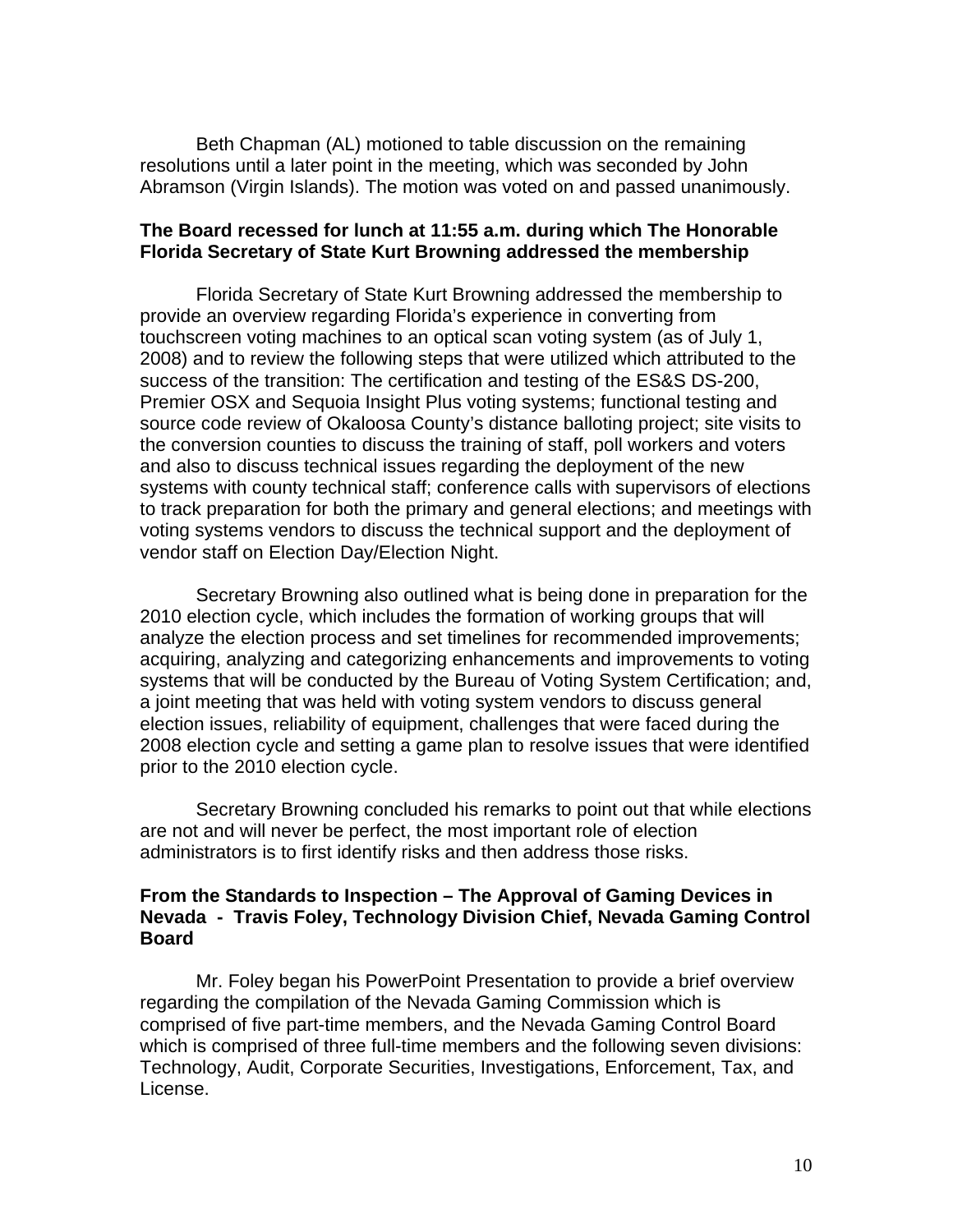Beth Chapman (AL) motioned to table discussion on the remaining resolutions until a later point in the meeting, which was seconded by John Abramson (Virgin Islands). The motion was voted on and passed unanimously.

## **The Board recessed for lunch at 11:55 a.m. during which The Honorable Florida Secretary of State Kurt Browning addressed the membership**

Florida Secretary of State Kurt Browning addressed the membership to provide an overview regarding Florida's experience in converting from touchscreen voting machines to an optical scan voting system (as of July 1, 2008) and to review the following steps that were utilized which attributed to the success of the transition: The certification and testing of the ES&S DS-200, Premier OSX and Sequoia Insight Plus voting systems; functional testing and source code review of Okaloosa County's distance balloting project; site visits to the conversion counties to discuss the training of staff, poll workers and voters and also to discuss technical issues regarding the deployment of the new systems with county technical staff; conference calls with supervisors of elections to track preparation for both the primary and general elections; and meetings with voting systems vendors to discuss the technical support and the deployment of vendor staff on Election Day/Election Night.

Secretary Browning also outlined what is being done in preparation for the 2010 election cycle, which includes the formation of working groups that will analyze the election process and set timelines for recommended improvements; acquiring, analyzing and categorizing enhancements and improvements to voting systems that will be conducted by the Bureau of Voting System Certification; and, a joint meeting that was held with voting system vendors to discuss general election issues, reliability of equipment, challenges that were faced during the 2008 election cycle and setting a game plan to resolve issues that were identified prior to the 2010 election cycle.

Secretary Browning concluded his remarks to point out that while elections are not and will never be perfect, the most important role of election administrators is to first identify risks and then address those risks.

## **From the Standards to Inspection – The Approval of Gaming Devices in Nevada - Travis Foley, Technology Division Chief, Nevada Gaming Control Board**

Mr. Foley began his PowerPoint Presentation to provide a brief overview regarding the compilation of the Nevada Gaming Commission which is comprised of five part-time members, and the Nevada Gaming Control Board which is comprised of three full-time members and the following seven divisions: Technology, Audit, Corporate Securities, Investigations, Enforcement, Tax, and License.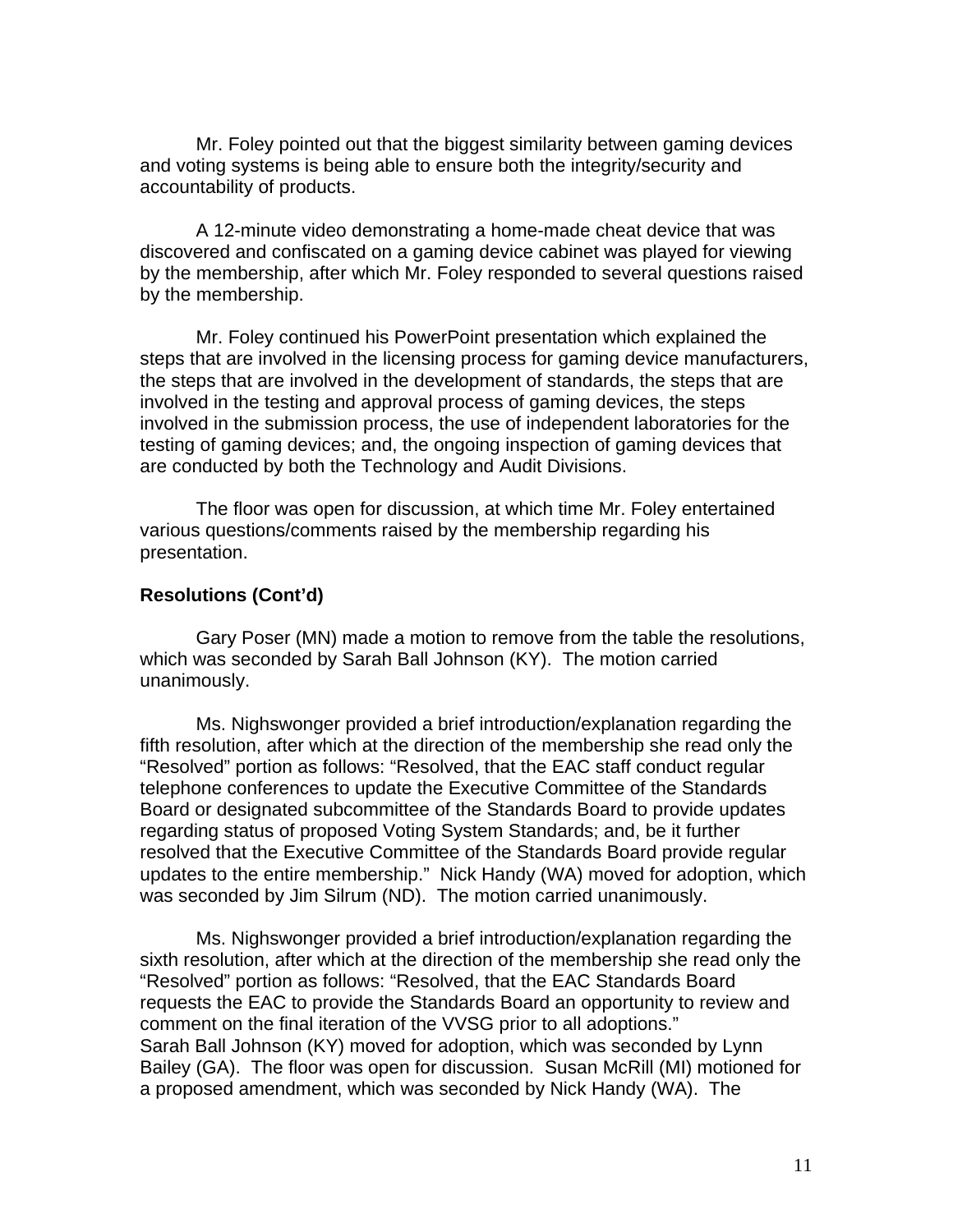Mr. Foley pointed out that the biggest similarity between gaming devices and voting systems is being able to ensure both the integrity/security and accountability of products.

A 12-minute video demonstrating a home-made cheat device that was discovered and confiscated on a gaming device cabinet was played for viewing by the membership, after which Mr. Foley responded to several questions raised by the membership.

Mr. Foley continued his PowerPoint presentation which explained the steps that are involved in the licensing process for gaming device manufacturers, the steps that are involved in the development of standards, the steps that are involved in the testing and approval process of gaming devices, the steps involved in the submission process, the use of independent laboratories for the testing of gaming devices; and, the ongoing inspection of gaming devices that are conducted by both the Technology and Audit Divisions.

The floor was open for discussion, at which time Mr. Foley entertained various questions/comments raised by the membership regarding his presentation.

# **Resolutions (Cont'd)**

Gary Poser (MN) made a motion to remove from the table the resolutions, which was seconded by Sarah Ball Johnson (KY). The motion carried unanimously.

Ms. Nighswonger provided a brief introduction/explanation regarding the fifth resolution, after which at the direction of the membership she read only the "Resolved" portion as follows: "Resolved, that the EAC staff conduct regular telephone conferences to update the Executive Committee of the Standards Board or designated subcommittee of the Standards Board to provide updates regarding status of proposed Voting System Standards; and, be it further resolved that the Executive Committee of the Standards Board provide regular updates to the entire membership." Nick Handy (WA) moved for adoption, which was seconded by Jim Silrum (ND). The motion carried unanimously.

Ms. Nighswonger provided a brief introduction/explanation regarding the sixth resolution, after which at the direction of the membership she read only the "Resolved" portion as follows: "Resolved, that the EAC Standards Board requests the EAC to provide the Standards Board an opportunity to review and comment on the final iteration of the VVSG prior to all adoptions." Sarah Ball Johnson (KY) moved for adoption, which was seconded by Lynn Bailey (GA). The floor was open for discussion. Susan McRill (MI) motioned for a proposed amendment, which was seconded by Nick Handy (WA). The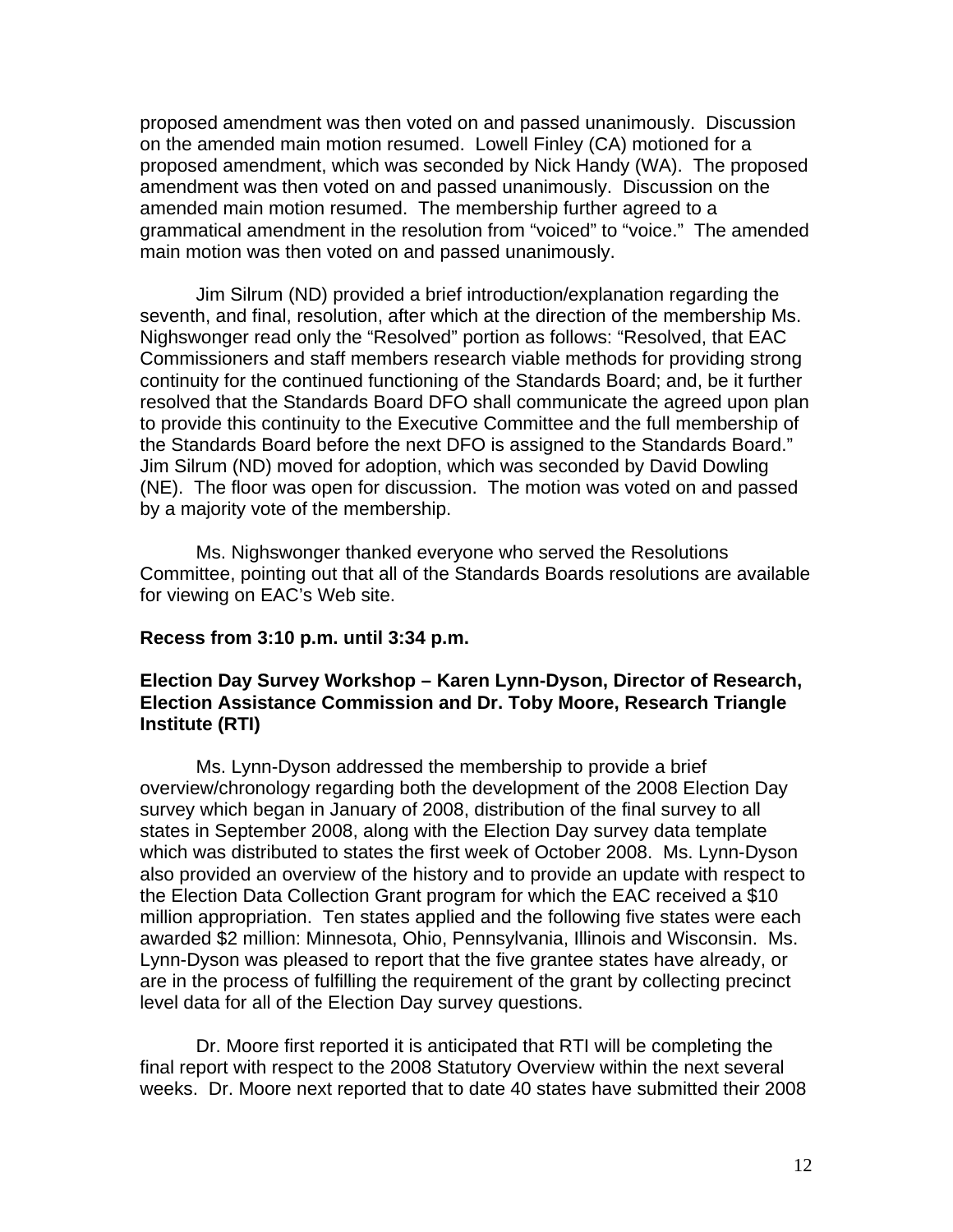proposed amendment was then voted on and passed unanimously. Discussion on the amended main motion resumed. Lowell Finley (CA) motioned for a proposed amendment, which was seconded by Nick Handy (WA). The proposed amendment was then voted on and passed unanimously. Discussion on the amended main motion resumed. The membership further agreed to a grammatical amendment in the resolution from "voiced" to "voice." The amended main motion was then voted on and passed unanimously.

Jim Silrum (ND) provided a brief introduction/explanation regarding the seventh, and final, resolution, after which at the direction of the membership Ms. Nighswonger read only the "Resolved" portion as follows: "Resolved, that EAC Commissioners and staff members research viable methods for providing strong continuity for the continued functioning of the Standards Board; and, be it further resolved that the Standards Board DFO shall communicate the agreed upon plan to provide this continuity to the Executive Committee and the full membership of the Standards Board before the next DFO is assigned to the Standards Board." Jim Silrum (ND) moved for adoption, which was seconded by David Dowling (NE). The floor was open for discussion. The motion was voted on and passed by a majority vote of the membership.

Ms. Nighswonger thanked everyone who served the Resolutions Committee, pointing out that all of the Standards Boards resolutions are available for viewing on EAC's Web site.

#### **Recess from 3:10 p.m. until 3:34 p.m.**

# **Election Day Survey Workshop – Karen Lynn-Dyson, Director of Research, Election Assistance Commission and Dr. Toby Moore, Research Triangle Institute (RTI)**

Ms. Lynn-Dyson addressed the membership to provide a brief overview/chronology regarding both the development of the 2008 Election Day survey which began in January of 2008, distribution of the final survey to all states in September 2008, along with the Election Day survey data template which was distributed to states the first week of October 2008. Ms. Lynn-Dyson also provided an overview of the history and to provide an update with respect to the Election Data Collection Grant program for which the EAC received a \$10 million appropriation. Ten states applied and the following five states were each awarded \$2 million: Minnesota, Ohio, Pennsylvania, Illinois and Wisconsin. Ms. Lynn-Dyson was pleased to report that the five grantee states have already, or are in the process of fulfilling the requirement of the grant by collecting precinct level data for all of the Election Day survey questions.

Dr. Moore first reported it is anticipated that RTI will be completing the final report with respect to the 2008 Statutory Overview within the next several weeks. Dr. Moore next reported that to date 40 states have submitted their 2008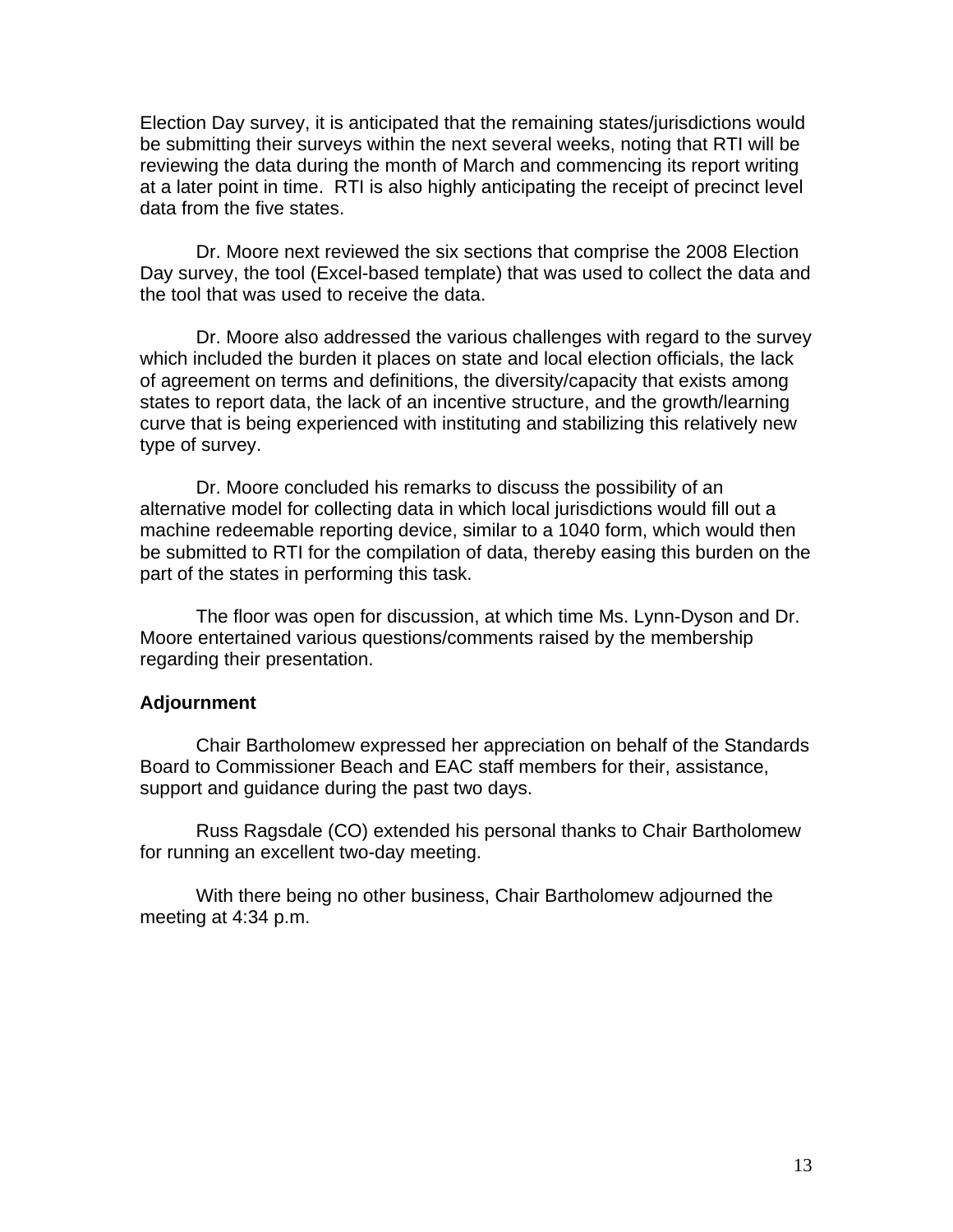Election Day survey, it is anticipated that the remaining states/jurisdictions would be submitting their surveys within the next several weeks, noting that RTI will be reviewing the data during the month of March and commencing its report writing at a later point in time. RTI is also highly anticipating the receipt of precinct level data from the five states.

Dr. Moore next reviewed the six sections that comprise the 2008 Election Day survey, the tool (Excel-based template) that was used to collect the data and the tool that was used to receive the data.

Dr. Moore also addressed the various challenges with regard to the survey which included the burden it places on state and local election officials, the lack of agreement on terms and definitions, the diversity/capacity that exists among states to report data, the lack of an incentive structure, and the growth/learning curve that is being experienced with instituting and stabilizing this relatively new type of survey.

Dr. Moore concluded his remarks to discuss the possibility of an alternative model for collecting data in which local jurisdictions would fill out a machine redeemable reporting device, similar to a 1040 form, which would then be submitted to RTI for the compilation of data, thereby easing this burden on the part of the states in performing this task.

The floor was open for discussion, at which time Ms. Lynn-Dyson and Dr. Moore entertained various questions/comments raised by the membership regarding their presentation.

#### **Adjournment**

 Chair Bartholomew expressed her appreciation on behalf of the Standards Board to Commissioner Beach and EAC staff members for their, assistance, support and guidance during the past two days.

 Russ Ragsdale (CO) extended his personal thanks to Chair Bartholomew for running an excellent two-day meeting.

With there being no other business, Chair Bartholomew adjourned the meeting at 4:34 p.m.